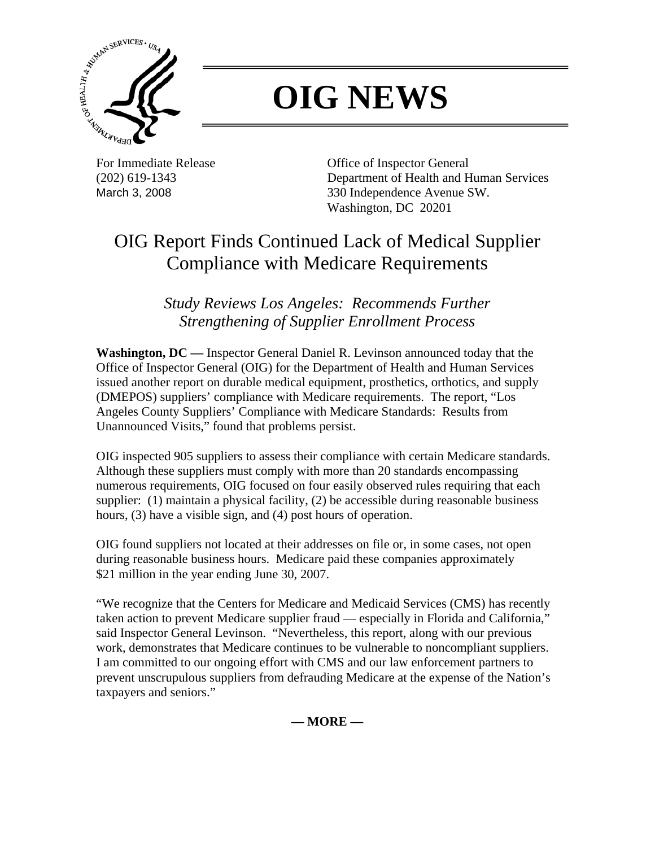

## **OIG NEWS**

For Immediate Release **Office of Inspector General** (202) 619-1343 Department of Health and Human Services March 3, 2008 330 Independence Avenue SW. Washington, DC 20201

## OIG Report Finds Continued Lack of Medical Supplier Compliance with Medicare Requirements

*Study Reviews Los Angeles: Recommends Further Strengthening of Supplier Enrollment Process* 

**Washington, DC —** Inspector General Daniel R. Levinson announced today that the Office of Inspector General (OIG) for the Department of Health and Human Services issued another report on durable medical equipment, prosthetics, orthotics, and supply (DMEPOS) suppliers' compliance with Medicare requirements. The report, "Los Angeles County Suppliers' Compliance with Medicare Standards: Results from Unannounced Visits," found that problems persist.

OIG inspected 905 suppliers to assess their compliance with certain Medicare standards. Although these suppliers must comply with more than 20 standards encompassing numerous requirements, OIG focused on four easily observed rules requiring that each supplier: (1) maintain a physical facility, (2) be accessible during reasonable business hours, (3) have a visible sign, and (4) post hours of operation.

OIG found suppliers not located at their addresses on file or, in some cases, not open during reasonable business hours. Medicare paid these companies approximately \$21 million in the year ending June 30, 2007.

"We recognize that the Centers for Medicare and Medicaid Services (CMS) has recently taken action to prevent Medicare supplier fraud — especially in Florida and California," said Inspector General Levinson. "Nevertheless, this report, along with our previous work, demonstrates that Medicare continues to be vulnerable to noncompliant suppliers. I am committed to our ongoing effort with CMS and our law enforcement partners to prevent unscrupulous suppliers from defrauding Medicare at the expense of the Nation's taxpayers and seniors."

**— MORE —**